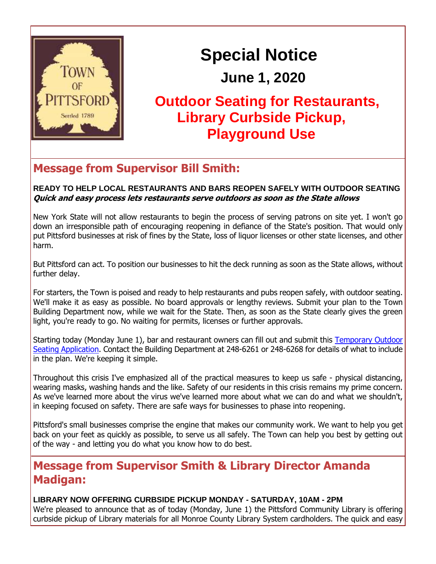

# **Special Notice**

## **June 1, 2020**

## **Outdoor Seating for Restaurants, Library Curbside Pickup, Playground Use**

## **Message from Supervisor Bill Smith:**

#### **READY TO HELP LOCAL RESTAURANTS AND BARS REOPEN SAFELY WITH OUTDOOR SEATING Quick and easy process lets restaurants serve outdoors as soon as the State allows**

New York State will not allow restaurants to begin the process of serving patrons on site yet. I won't go down an irresponsible path of encouraging reopening in defiance of the State's position. That would only put Pittsford businesses at risk of fines by the State, loss of liquor licenses or other state licenses, and other harm.

But Pittsford can act. To position our businesses to hit the deck running as soon as the State allows, without further delay.

For starters, the Town is poised and ready to help restaurants and pubs reopen safely, with outdoor seating. We'll make it as easy as possible. No board approvals or lengthy reviews. Submit your plan to the Town Building Department now, while we wait for the State. Then, as soon as the State clearly gives the green light, you're ready to go. No waiting for permits, licenses or further approvals.

Starting today (Monday June 1), bar and restaurant owners can fill out and submit this [Temporary Outdoor](http://r20.rs6.net/tn.jsp?t=biw9apabb.0.0.iffsuglab.0&id=preview&r=3&p=http%3A%2F%2Ftownofpittsford.org%2Ffiles%2Fimages%2Fdpw%2Ftemporary-outdoor-seating-application-restaurants-bars-060120.pdf)  [Seating Application.](http://r20.rs6.net/tn.jsp?t=biw9apabb.0.0.iffsuglab.0&id=preview&r=3&p=http%3A%2F%2Ftownofpittsford.org%2Ffiles%2Fimages%2Fdpw%2Ftemporary-outdoor-seating-application-restaurants-bars-060120.pdf) Contact the Building Department at 248-6261 or 248-6268 for details of what to include in the plan. We're keeping it simple.

Throughout this crisis I've emphasized all of the practical measures to keep us safe - physical distancing, wearing masks, washing hands and the like. Safety of our residents in this crisis remains my prime concern. As we've learned more about the virus we've learned more about what we can do and what we shouldn't, in keeping focused on safety. There are safe ways for businesses to phase into reopening.

Pittsford's small businesses comprise the engine that makes our community work. We want to help you get back on your feet as quickly as possible, to serve us all safely. The Town can help you best by getting out of the way - and letting you do what you know how to do best.

## **Message from Supervisor Smith & Library Director Amanda Madigan:**

#### **LIBRARY NOW OFFERING CURBSIDE PICKUP MONDAY - SATURDAY, 10AM - 2PM**

We're pleased to announce that as of today (Monday, June 1) the Pittsford Community Library is offering curbside pickup of Library materials for all Monroe County Library System cardholders. The quick and easy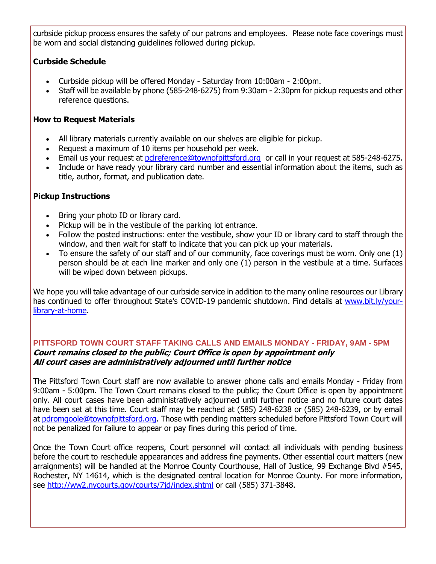curbside pickup process ensures the safety of our patrons and employees. Please note face coverings must be worn and social distancing guidelines followed during pickup.

#### **Curbside Schedule**

- Curbside pickup will be offered Monday Saturday from 10:00am 2:00pm.
- Staff will be available by phone (585-248-6275) from 9:30am 2:30pm for pickup requests and other reference questions.

#### **How to Request Materials**

- All library materials currently available on our shelves are eligible for pickup.
- Request a maximum of 10 items per household per week.
- Email us your request at [pclreference@townofpittsford.org](mailto:pclreference@townofpittsford.org?subject=Library%20materials%20request) or call in your request at 585-248-6275.
- Include or have ready your library card number and essential information about the items, such as title, author, format, and publication date.

#### **Pickup Instructions**

- Bring your photo ID or library card.
- Pickup will be in the vestibule of the parking lot entrance.
- Follow the posted instructions: enter the vestibule, show your ID or library card to staff through the window, and then wait for staff to indicate that you can pick up your materials.
- To ensure the safety of our staff and of our community, face coverings must be worn. Only one (1) person should be at each line marker and only one (1) person in the vestibule at a time. Surfaces will be wiped down between pickups.

We hope you will take advantage of our curbside service in addition to the many online resources our Library has continued to offer throughout State's COVID-19 pandemic shutdown. Find details at [www.bit.ly/your](http://r20.rs6.net/tn.jsp?t=biw9apabb.0.0.iffsuglab.0&id=preview&r=3&p=http%3A%2F%2Fwww.bit.ly%2Fyour-library-at-home)[library-at-home.](http://r20.rs6.net/tn.jsp?t=biw9apabb.0.0.iffsuglab.0&id=preview&r=3&p=http%3A%2F%2Fwww.bit.ly%2Fyour-library-at-home)

#### **PITTSFORD TOWN COURT STAFF TAKING CALLS AND EMAILS MONDAY - FRIDAY, 9AM - 5PM Court remains closed to the public; Court Office is open by appointment only All court cases are administratively adjourned until further notice**

The Pittsford Town Court staff are now available to answer phone calls and emails Monday - Friday from 9:00am - 5:00pm. The Town Court remains closed to the public; the Court Office is open by appointment only. All court cases have been administratively adjourned until further notice and no future court dates have been set at this time. Court staff may be reached at (585) 248-6238 or (585) 248-6239, or by email at [pdromgoole@townofpittsford.org.](mailto:pdromgoole@townofpittsford.org) Those with pending matters scheduled before Pittsford Town Court will not be penalized for failure to appear or pay fines during this period of time.

Once the Town Court office reopens, Court personnel will contact all individuals with pending business before the court to reschedule appearances and address fine payments. Other essential court matters (new arraignments) will be handled at the Monroe County Courthouse, Hall of Justice, 99 Exchange Blvd #545, Rochester, NY 14614, which is the designated central location for Monroe County. For more information, see <http://ww2.nycourts.gov/courts/7jd/index.shtml> or call (585) 371-3848.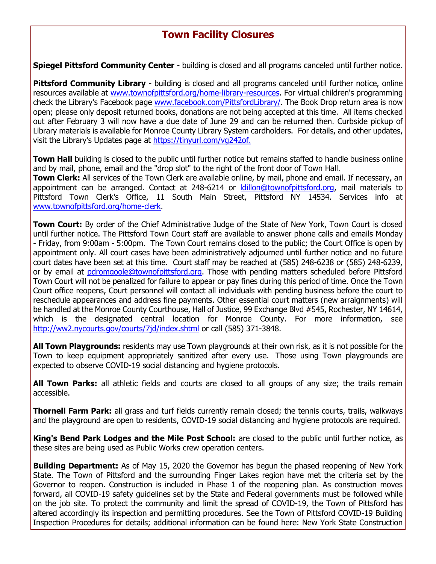## **Town Facility Closures**

**Spiegel Pittsford Community Center** - building is closed and all programs canceled until further notice.

**Pittsford Community Library** - building is closed and all programs canceled until further notice, online resources available at [www.townofpittsford.org/home-library-resources.](http://r20.rs6.net/tn.jsp?t=biw9apabb.0.0.iffsuglab.0&id=preview&r=3&p=http%3A%2F%2Fwww.townofpittsford.org%2Fhome-library-resources) For virtual children's programming check the Library's Facebook page [www.facebook.com/PittsfordLibrary/.](http://r20.rs6.net/tn.jsp?t=biw9apabb.0.0.iffsuglab.0&id=preview&r=3&p=http%3A%2F%2Fwww.facebook.com%2FPittsfordLibrary%2F) The Book Drop return area is now open; please only deposit returned books, donations are not being accepted at this time. All items checked out after February 3 will now have a due date of June 29 and can be returned then. Curbside pickup of Library materials is available for Monroe County Library System cardholders. For details, and other updates, visit the Library's Updates page at [https://tinyurl.com/vg242of.](http://r20.rs6.net/tn.jsp?t=biw9apabb.0.0.iffsuglab.0&id=preview&r=3&p=https%3A%2F%2Ftinyurl.com%2Fvg242of.)

**Town Hall** building is closed to the public until further notice but remains staffed to handle business online and by mail, phone, email and the "drop slot" to the right of the front door of Town Hall. **Town Clerk:** All services of the Town Clerk are available online, by mail, phone and email. If necessary, an appointment can be arranged. Contact at 248-6214 or **Idillon@townofpittsford.org**, mail materials to Pittsford Town Clerk's Office, 11 South Main Street, Pittsford NY 14534. Services info at [www.townofpittsford.org/home-clerk.](http://r20.rs6.net/tn.jsp?t=biw9apabb.0.0.iffsuglab.0&id=preview&r=3&p=http%3A%2F%2Fwww.townofpittsford.org%2Fhome-clerk)

**Town Court:** By order of the Chief Administrative Judge of the State of New York, Town Court is closed until further notice. The Pittsford Town Court staff are available to answer phone calls and emails Monday - Friday, from 9:00am - 5:00pm. The Town Court remains closed to the public; the Court Office is open by appointment only. All court cases have been administratively adjourned until further notice and no future court dates have been set at this time. Court staff may be reached at (585) 248-6238 or (585) 248-6239, or by email at [pdromgoole@townofpittsford.org.](mailto:pdromgoole@townofpittsford.org) Those with pending matters scheduled before Pittsford Town Court will not be penalized for failure to appear or pay fines during this period of time. Once the Town Court office reopens, Court personnel will contact all individuals with pending business before the court to reschedule appearances and address fine payments. Other essential court matters (new arraignments) will be handled at the Monroe County Courthouse, Hall of Justice, 99 Exchange Blvd #545, Rochester, NY 14614, which is the designated central location for Monroe County. For more information, see [http://ww2.nycourts.gov/courts/7jd/index.shtml](http://r20.rs6.net/tn.jsp?t=biw9apabb.0.0.iffsuglab.0&id=preview&r=3&p=http%3A%2F%2Fww2.nycourts.gov%2Fcourts%2F7jd%2Findex.shtml) or call (585) 371-3848.

**All Town Playgrounds:** residents may use Town playgrounds at their own risk, as it is not possible for the Town to keep equipment appropriately sanitized after every use. Those using Town playgrounds are expected to observe COVID-19 social distancing and hygiene protocols.

**All Town Parks:** all athletic fields and courts are closed to all groups of any size; the trails remain accessible.

**Thornell Farm Park:** all grass and turf fields currently remain closed; the tennis courts, trails, walkways and the playground are open to residents, COVID-19 social distancing and hygiene protocols are required.

**King's Bend Park Lodges and the Mile Post School:** are closed to the public until further notice, as these sites are being used as Public Works crew operation centers.

**Building Department:** As of May 15, 2020 the Governor has begun the phased reopening of New York State. The Town of Pittsford and the surrounding Finger Lakes region have met the criteria set by the Governor to reopen. Construction is included in Phase 1 of the reopening plan. As construction moves forward, all COVID-19 safety guidelines set by the State and Federal governments must be followed while on the job site. To protect the community and limit the spread of COVID-19, the Town of Pittsford has altered accordingly its inspection and permitting procedures. See the Town of Pittsford COVID-19 Building Inspection Procedures for details; additional information can be found here: New York State Construction